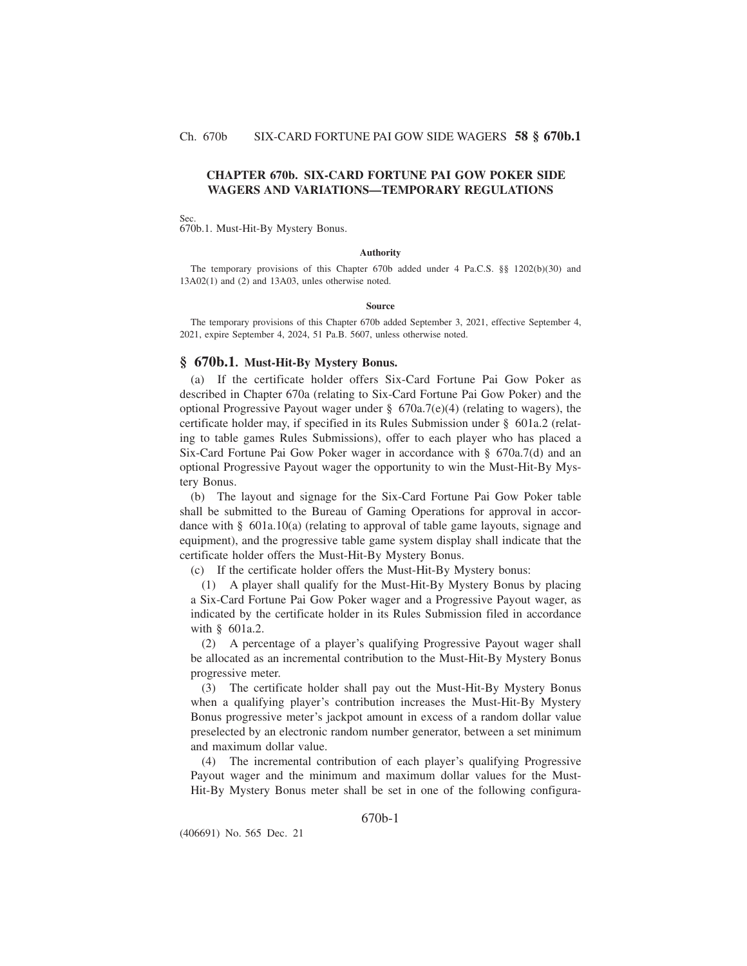## **CHAPTER 670b. SIX-CARD FORTUNE PAI GOW POKER SIDE WAGERS AND VARIATIONS—TEMPORARY REGULATIONS**

#### Sec.

670b.1. Must-Hit-By Mystery Bonus.

#### **Authority**

The temporary provisions of this Chapter 670b added under 4 Pa.C.S. §§ 1202(b)(30) and 13A02(1) and (2) and 13A03, unles otherwise noted.

#### **Source**

The temporary provisions of this Chapter 670b added September 3, 2021, effective September 4, 2021, expire September 4, 2024, 51 Pa.B. 5607, unless otherwise noted.

#### **§ 670b.1. Must-Hit-By Mystery Bonus.**

(a) If the certificate holder offers Six-Card Fortune Pai Gow Poker as described in Chapter 670a (relating to Six-Card Fortune Pai Gow Poker) and the optional Progressive Payout wager under  $\S$  670a.7(e)(4) (relating to wagers), the certificate holder may, if specified in its Rules Submission under § 601a.2 (relating to table games Rules Submissions), offer to each player who has placed a Six-Card Fortune Pai Gow Poker wager in accordance with § 670a.7(d) and an optional Progressive Payout wager the opportunity to win the Must-Hit-By Mystery Bonus.

(b) The layout and signage for the Six-Card Fortune Pai Gow Poker table shall be submitted to the Bureau of Gaming Operations for approval in accordance with  $\S$  601a.10(a) (relating to approval of table game layouts, signage and equipment), and the progressive table game system display shall indicate that the certificate holder offers the Must-Hit-By Mystery Bonus.

(c) If the certificate holder offers the Must-Hit-By Mystery bonus:

(1) A player shall qualify for the Must-Hit-By Mystery Bonus by placing a Six-Card Fortune Pai Gow Poker wager and a Progressive Payout wager, as indicated by the certificate holder in its Rules Submission filed in accordance with § 601a.2.

(2) A percentage of a player's qualifying Progressive Payout wager shall be allocated as an incremental contribution to the Must-Hit-By Mystery Bonus progressive meter.

(3) The certificate holder shall pay out the Must-Hit-By Mystery Bonus when a qualifying player's contribution increases the Must-Hit-By Mystery Bonus progressive meter's jackpot amount in excess of a random dollar value preselected by an electronic random number generator, between a set minimum and maximum dollar value.

(4) The incremental contribution of each player's qualifying Progressive Payout wager and the minimum and maximum dollar values for the Must-Hit-By Mystery Bonus meter shall be set in one of the following configura-

## 670b-1

(406691) No. 565 Dec. 21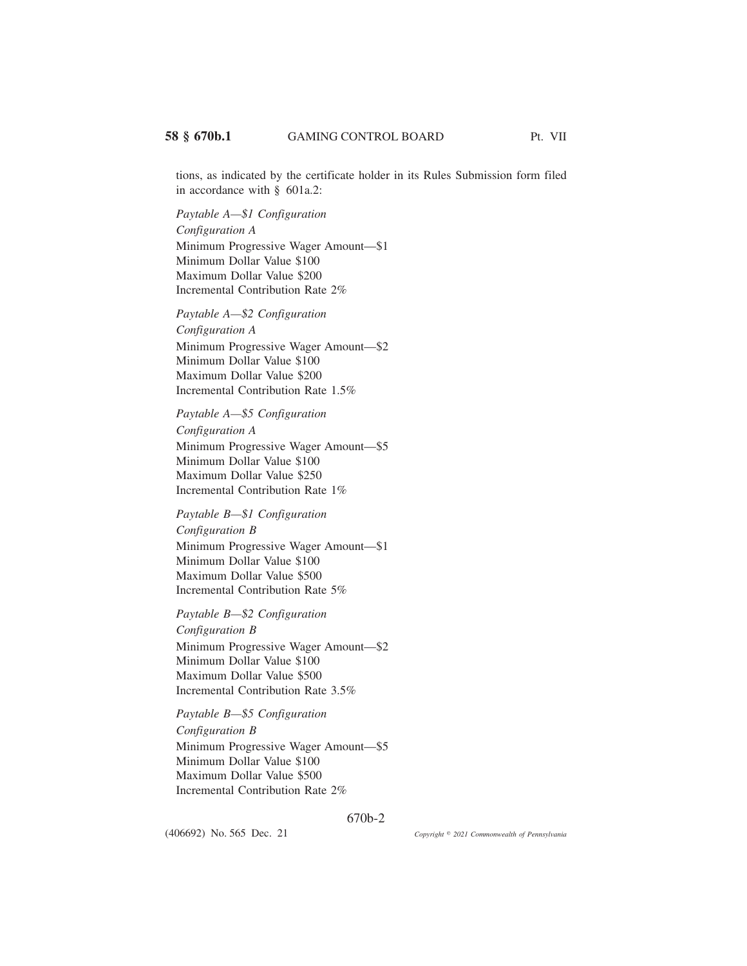tions, as indicated by the certificate holder in its Rules Submission form filed in accordance with § 601a.2:

*Paytable A—\$1 Configuration*

*Configuration A* Minimum Progressive Wager Amount—\$1 Minimum Dollar Value \$100 Maximum Dollar Value \$200 Incremental Contribution Rate 2%

*Paytable A—\$2 Configuration*

*Configuration A* Minimum Progressive Wager Amount—\$2 Minimum Dollar Value \$100 Maximum Dollar Value \$200 Incremental Contribution Rate 1.5%

*Paytable A—\$5 Configuration*

*Configuration A* Minimum Progressive Wager Amount—\$5 Minimum Dollar Value \$100 Maximum Dollar Value \$250 Incremental Contribution Rate 1%

## *Paytable B—\$1 Configuration*

*Configuration B* Minimum Progressive Wager Amount—\$1 Minimum Dollar Value \$100 Maximum Dollar Value \$500 Incremental Contribution Rate 5%

*Paytable B—\$2 Configuration*

*Configuration B* Minimum Progressive Wager Amount—\$2 Minimum Dollar Value \$100 Maximum Dollar Value \$500 Incremental Contribution Rate 3.5%

*Paytable B—\$5 Configuration*

*Configuration B*

Minimum Progressive Wager Amount—\$5 Minimum Dollar Value \$100 Maximum Dollar Value \$500 Incremental Contribution Rate 2%

670b-2

(406692) No. 565 Dec. 21

*2021 Commonwealth of Pennsylvania*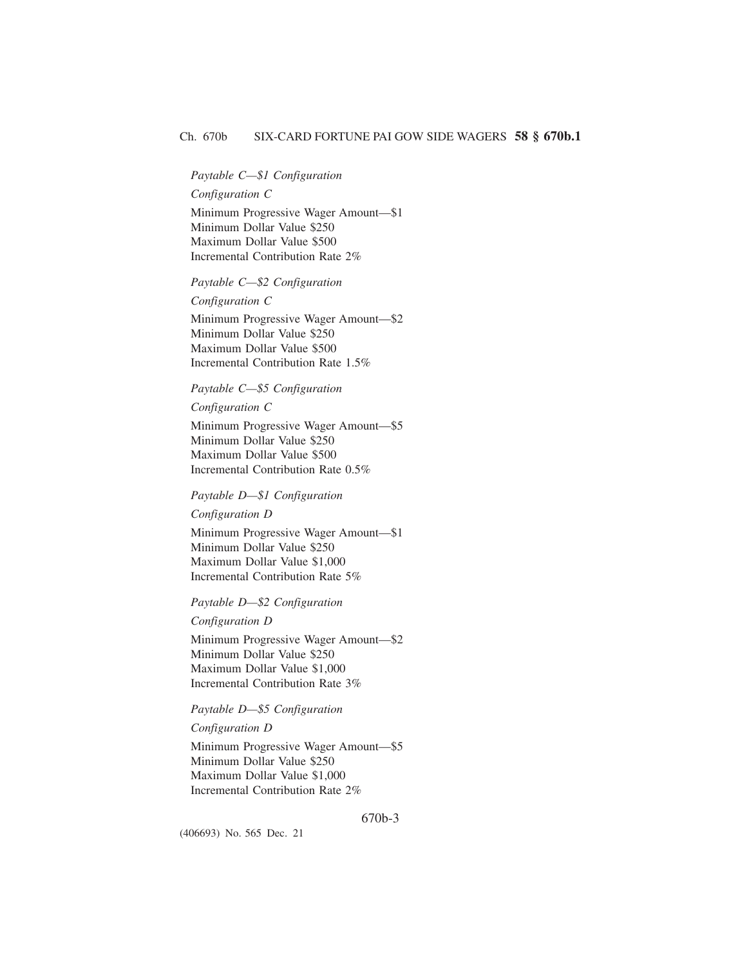## *Paytable C—\$1 Configuration*

## *Configuration C*

Minimum Progressive Wager Amount—\$1 Minimum Dollar Value \$250 Maximum Dollar Value \$500 Incremental Contribution Rate 2%

#### *Paytable C—\$2 Configuration*

## *Configuration C*

Minimum Progressive Wager Amount—\$2 Minimum Dollar Value \$250 Maximum Dollar Value \$500 Incremental Contribution Rate 1.5%

## *Paytable C—\$5 Configuration*

## *Configuration C*

Minimum Progressive Wager Amount—\$5 Minimum Dollar Value \$250 Maximum Dollar Value \$500 Incremental Contribution Rate 0.5%

# *Paytable D—\$1 Configuration*

## *Configuration D*

Minimum Progressive Wager Amount—\$1 Minimum Dollar Value \$250 Maximum Dollar Value \$1,000 Incremental Contribution Rate 5%

## *Paytable D—\$2 Configuration*

## *Configuration D*

Minimum Progressive Wager Amount—\$2 Minimum Dollar Value \$250 Maximum Dollar Value \$1,000 Incremental Contribution Rate 3%

## *Paytable D—\$5 Configuration*

#### *Configuration D*

Minimum Progressive Wager Amount—\$5 Minimum Dollar Value \$250 Maximum Dollar Value \$1,000 Incremental Contribution Rate 2%

#### 670b-3

(406693) No. 565 Dec. 21